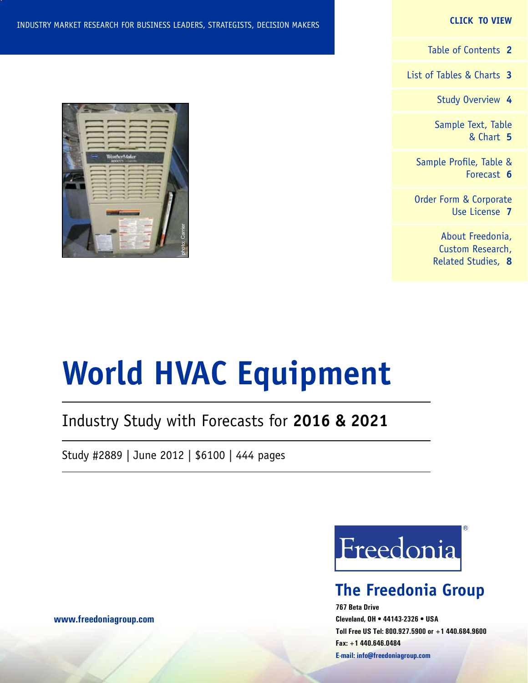#### **CLICK TO VIEW**

[Table of Contents](#page-1-0) **2**

[List of Tables & Charts](#page-2-0) **3**

[Study Overview](#page-3-0) **4**

[Sample Text, Table](#page-4-0) [& Chart](#page-4-0) **5**

[Sample Profile, Table &](#page-5-0) [Forecast](#page-5-0) **6**

[Order Form & Corporate](#page-6-0) [Use License](#page-6-0) **7**

> [About Freedonia,](#page-7-0) [Custom Research,](#page-7-0) [Related Studies,](#page-7-0) **8**

## INDUSTRY MARKET RESEARCH FOR BUSINESS LEADERS, STRATEGISTS, DECISION MAKERS



# **World HVAC Equipment**

## Industry Study with Forecasts for **2016 & 2021**

Study #2889 | June 2012 | \$6100 | 444 pages



## **The Freedonia Group**

**767 Beta Drive Cleveland, OH • 44143-2326 • USA Toll Free US Tel: 800.927.5900 or +1 440.684.9600 Fax: +1 440.646.0484 E-mail: [info@freedoniagroup.com](mailto:info@freedoniagroup.com)**

**[www.freedoniagroup.com](http://www.freedoniagroup.com/Home.aspx?ReferrerId=FM-Bro)**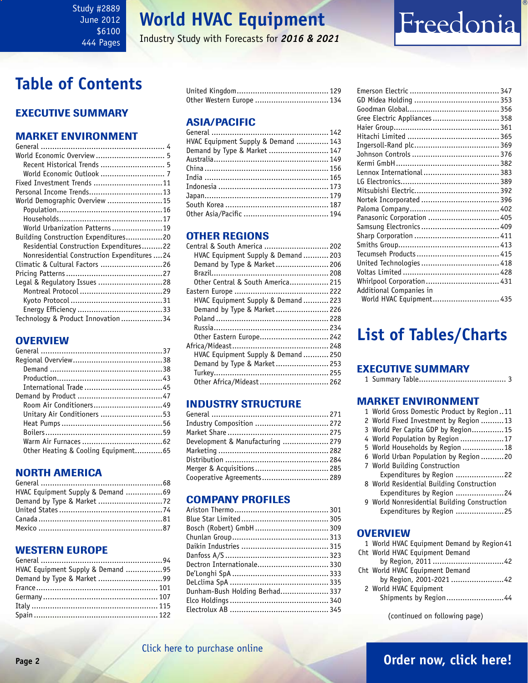#### <span id="page-1-0"></span>Study #2889 June 2012 \$6100 444 Pages

## **World HVAC Equipment**

Industry Study with Forecasts for *2016 & 2021*

## Freedonia

## **Table of Contents**

## Executive Summary

## Market EnvironmenT

| World Economic Overview  5                   |
|----------------------------------------------|
| Recent Historical Trends  5                  |
|                                              |
| Fixed Investment Trends 11                   |
| Personal Income Trends13                     |
| World Demographic Overview 15                |
|                                              |
|                                              |
| World Urbanization Patterns19                |
| Building Construction Expenditures20         |
| Residential Construction Expenditures22      |
| Nonresidential Construction Expenditures  24 |
| Climatic & Cultural Factors 26               |
|                                              |
| Legal & Regulatory Issues 28                 |
|                                              |
|                                              |
|                                              |
| Technology & Product Innovation 34           |

## **OVERVIEW**

| Room Air Conditioners49             |  |
|-------------------------------------|--|
| Unitary Air Conditioners 53         |  |
|                                     |  |
|                                     |  |
|                                     |  |
| Other Heating & Cooling Equipment65 |  |

## NORTH AMERICA

| HVAC Equipment Supply & Demand 69 |  |
|-----------------------------------|--|
|                                   |  |
|                                   |  |
|                                   |  |
|                                   |  |

## WESTERN EUROPE

| HVAC Equipment Supply & Demand 95 |  |
|-----------------------------------|--|
|                                   |  |
|                                   |  |
|                                   |  |
|                                   |  |
|                                   |  |

| Other Western Europe  134 |  |
|---------------------------|--|

## ASIA/PACIFIC

| HVAC Equipment Supply & Demand  143 |  |
|-------------------------------------|--|
| Demand by Type & Market  147        |  |
|                                     |  |
|                                     |  |
|                                     |  |
|                                     |  |
|                                     |  |
|                                     |  |
|                                     |  |
|                                     |  |

## OTHER REGIONS

| Central & South America  202        |  |
|-------------------------------------|--|
| HVAC Equipment Supply & Demand  203 |  |
| Demand by Type & Market 206         |  |
|                                     |  |
| Other Central & South America 215   |  |
|                                     |  |
| HVAC Equipment Supply & Demand  223 |  |
| Demand by Type & Market 226         |  |
|                                     |  |
|                                     |  |
| Other Eastern Europe 242            |  |
|                                     |  |
| HVAC Equipment Supply & Demand  250 |  |
| Demand by Type & Market 253         |  |
|                                     |  |
| Other Africa/Mideast  262           |  |
|                                     |  |

## INDUSTRY STRUCTURE

| Industry Composition  272        |  |
|----------------------------------|--|
|                                  |  |
| Development & Manufacturing  279 |  |
|                                  |  |
|                                  |  |
| Merger & Acquisitions  285       |  |
| Cooperative Agreements 289       |  |
|                                  |  |

## Company Profiles

| Bosch (Robert) GmbH  309       |  |
|--------------------------------|--|
|                                |  |
|                                |  |
|                                |  |
| Dectron Internationale 330     |  |
|                                |  |
|                                |  |
| Dunham-Bush Holding Berhad 337 |  |
|                                |  |
|                                |  |
|                                |  |

| Gree Electric Appliances  358 |  |
|-------------------------------|--|
|                               |  |
|                               |  |
|                               |  |
|                               |  |
|                               |  |
| Lennox International  383     |  |
|                               |  |
|                               |  |
| Nortek Incorporated  396      |  |
|                               |  |
| Panasonic Corporation  405    |  |
|                               |  |
|                               |  |
|                               |  |
|                               |  |
| United Technologies 418       |  |
|                               |  |
| Whirlpool Corporation 431     |  |
| Additional Companies in       |  |
| World HVAC Equipment 435      |  |

## **List of Tables/Charts**

## Executive Summary

|--|--|--|--|

#### Market EnvironmenT

| 1 World Gross Domestic Product by Region11   |
|----------------------------------------------|
| 2 World Fixed Investment by Region 13        |
| 3 World Per Capita GDP by Region15           |
| 4 World Population by Region 17              |
| 5 World Households by Region 18              |
| 6 World Urban Population by Region 20        |
| 7 World Building Construction                |
| Expenditures by Region 22                    |
| 8 World Residential Building Construction    |
| Expenditures by Region 24                    |
| 9 World Nonresidential Building Construction |
| Expenditures by Region 25                    |
|                                              |

## **OVERVIEW**

| 1 World HVAC Equipment Demand by Region 41 |  |
|--------------------------------------------|--|
| Cht World HVAC Equipment Demand            |  |
|                                            |  |
| Cht World HVAC Equipment Demand            |  |
| by Region, 2001-2021 42                    |  |
| 2 World HVAC Equipment                     |  |
| Shipments by Region44                      |  |
|                                            |  |

(continued on following page)

## [Click here to purchase online](http://www.freedoniagroup.com/DocumentDetails.aspx?Referrerid=FM-Bro&StudyID=2889)

## **Page 2 [Order now, click here!](#page-6-0)**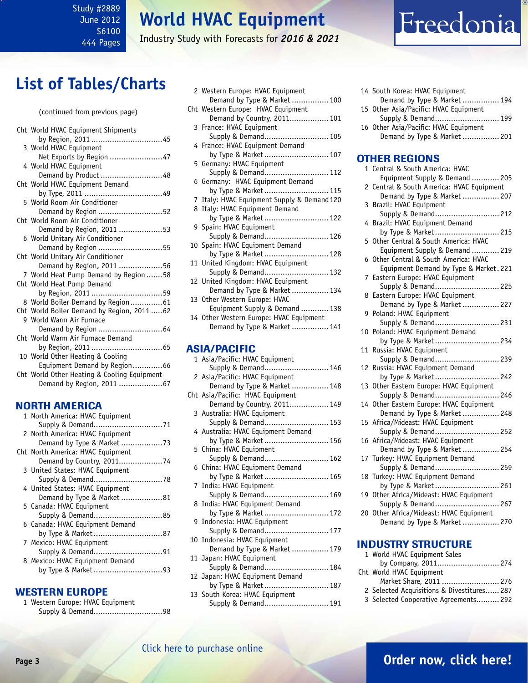### <span id="page-2-0"></span>Study #2889 June 2012 \$6100 444 Pages

## **World HVAC Equipment**

Industry Study with Forecasts for *2016 & 2021*

## Freedonia

## **List of Tables/Charts**

| Cht World HVAC Equipment Shipments          |
|---------------------------------------------|
| by Region, 2011 45                          |
| 3 World HVAC Equipment                      |
| Net Exports by Region 47                    |
| 4 World HVAC Equipment                      |
| Demand by Product 48                        |
| Cht World HVAC Equipment Demand             |
|                                             |
| 5 World Room Air Conditioner                |
| Demand by Region 52                         |
| Cht World Room Air Conditioner              |
| Demand by Region, 2011 53                   |
| 6 World Unitary Air Conditioner             |
| Demand by Region 55                         |
| Cht World Unitary Air Conditioner           |
| Demand by Region, 2011 56                   |
| 7 World Heat Pump Demand by Region  58      |
| Cht World Heat Pump Demand                  |
| by Region, 2011 59                          |
| 8 World Boiler Demand by Region61           |
| Cht World Boiler Demand by Region, 201162   |
| 9 World Warm Air Furnace                    |
| Demand by Region  64                        |
| Cht World Warm Air Furnace Demand           |
|                                             |
| 10 World Other Heating & Cooling            |
| Equipment Demand by Region66                |
| Cht World Other Heating & Cooling Equipment |
| Demand by Region, 2011 67                   |
|                                             |

## NORTH AMERICA

| 1 North America: HVAC Equipment   |
|-----------------------------------|
|                                   |
| 2 North America: HVAC Equipment   |
|                                   |
| Cht North America: HVAC Equipment |
| Demand by Country, 201174         |
| 3 United States: HVAC Equipment   |
|                                   |
| 4 United States: HVAC Equipment   |
| Demand by Type & Market 81        |
| 5 Canada: HVAC Equipment          |
| Supply & Demand85                 |
| 6 Canada: HVAC Equipment Demand   |
|                                   |
| 7 Mexico: HVAC Equipment          |
|                                   |
| 8 Mexico: HVAC Equipment Demand   |
| by Type & Market93                |
|                                   |

#### WESTERN EUROPE

1 Western Europe: HVAC Equipment Supply & Demand..............................98

| 2 Western Europe: HVAC Equipment            |
|---------------------------------------------|
| Demand by Type & Market  100                |
| Cht Western Europe: HVAC Equipment          |
| Demand by Country, 2011 101                 |
| 3 France: HVAC Equipment                    |
| Supply & Demand 105                         |
| 4 France: HVAC Equipment Demand             |
| by Type & Market 107                        |
| 5 Germany: HVAC Equipment                   |
| Supply & Demand 112                         |
| 6 Germany: HVAC Equipment Demand            |
| by Type & Market 115                        |
| 7 Italy: HVAC Equipment Supply & Demand 120 |
| 8 Italy: HVAC Equipment Demand              |
| by Type & Market 122                        |
| 9 Spain: HVAC Equipment                     |
| Supply & Demand 126                         |
| 10 Spain: HVAC Equipment Demand             |
| by Type & Market 128                        |
| 11 United Kingdom: HVAC Equipment           |
| Supply & Demand 132                         |
| 12 United Kingdom: HVAC Equipment           |
| Demand by Type & Market  134                |
| 13 Other Western Europe: HVAC               |
| Equipment Supply & Demand  138              |
| 14 Other Western Europe: HVAC Equipment     |
| Demand by Type & Market  141                |
|                                             |
|                                             |

### ASIA/PACIFIC

| 1 Asia/Pacific: HVAC Equipment     |
|------------------------------------|
| Supply & Demand 146                |
| 2 Asia/Pacific: HVAC Equipment     |
| Demand by Type & Market  148       |
| Cht Asia/Pacific: HVAC Equipment   |
| Demand by Country, 2011 149        |
| 3 Australia: HVAC Equipment        |
| Supply & Demand 153                |
| 4 Australia: HVAC Equipment Demand |
| by Type & Market 156               |
| 5 China: HVAC Equipment            |
| Supply & Demand 162                |
| 6 China: HVAC Equipment Demand     |
| by Type & Market 165               |
| 7 India: HVAC Equipment            |
| Supply & Demand 169                |
| 8 India: HVAC Equipment Demand     |
| by Type & Market 172               |
| 9 Indonesia: HVAC Equipment        |
| Supply & Demand 177                |
| 10 Indonesia: HVAC Equipment       |
| Demand by Type & Market  179       |
| 11 Japan: HVAC Equipment           |
| Supply & Demand 184                |
| 12 Japan: HVAC Equipment Demand    |
| by Type & Market 187               |
| 13 South Korea: HVAC Equipment     |
| Supply & Demand 191                |

| 14 South Korea: HVAC Equipment        |  |
|---------------------------------------|--|
| Demand by Type & Market  194          |  |
| 15 Other Asia/Pacific: HVAC Equipment |  |
| Supply & Demand 199                   |  |
| 16 Other Asia/Pacific: HVAC Equipment |  |
| Demand by Type & Market  201          |  |

#### OTHER REGIONS

|                | 1 Central & South America: HVAC                               |
|----------------|---------------------------------------------------------------|
|                | Equipment Supply & Demand  205                                |
| $\overline{c}$ | Central & South America: HVAC Equipment                       |
|                | Demand by Type & Market  207                                  |
| 3              | Brazil: HVAC Equipment                                        |
|                | Supply & Demand 212                                           |
| 4              | Brazil: HVAC Equipment Demand                                 |
|                | by Type & Market 215                                          |
| 5              | Other Central & South America: HVAC                           |
|                | Equipment Supply & Demand  219                                |
| 6              | Other Central & South America: HVAC                           |
|                | Equipment Demand by Type & Market. 221                        |
| 7              | Eastern Europe: HVAC Equipment                                |
|                | Supply & Demand 225                                           |
| 8              | Eastern Europe: HVAC Equipment                                |
|                | Demand by Type & Market  227                                  |
| 9              | Poland: HVAC Equipment                                        |
|                | Supply & Demand 231                                           |
| 10             | Poland: HVAC Equipment Demand                                 |
|                | by Type & Market 234                                          |
| 11             | Russia: HVAC Equipment                                        |
|                | Supply & Demand 239                                           |
| 12             | Russia: HVAC Equipment Demand                                 |
|                | by Type & Market<br>242                                       |
| 13             | Other Eastern Europe: HVAC Equipment                          |
|                | Supply & Demand 246                                           |
|                | 14 Other Eastern Europe: HVAC Equipment                       |
|                | Demand by Type & Market  248                                  |
|                | 15 Africa/Mideast: HVAC Equipment                             |
|                | Supply & Demand 252<br>16 Africa/Mideast: HVAC Equipment      |
|                |                                                               |
|                | Demand by Type & Market  254<br>Turkey: HVAC Equipment Demand |
| 17             | Supply & Demand 259                                           |
| 18             | Turkey: HVAC Equipment Demand                                 |
|                | by Type & Market<br>261                                       |
| 19             | Other Africa/Mideast: HVAC Equipment                          |
|                | Supply & Demand 267                                           |
| 20             | Other Africa/Mideast: HVAC Equipment                          |
|                | Demand by Type & Market  270                                  |
|                |                                                               |

### INDUSTRY STRUCTURE

| 1 World HVAC Equipment Sales               |  |
|--------------------------------------------|--|
| by Company, 2011 274                       |  |
| Cht World HVAC Equipment                   |  |
| Market Share, 2011  276                    |  |
| 2 Selected Acquisitions & Divestitures 287 |  |
| 3 Selected Cooperative Agreements 292      |  |
|                                            |  |

## **Page 3 [Order now, click here!](#page-6-0)**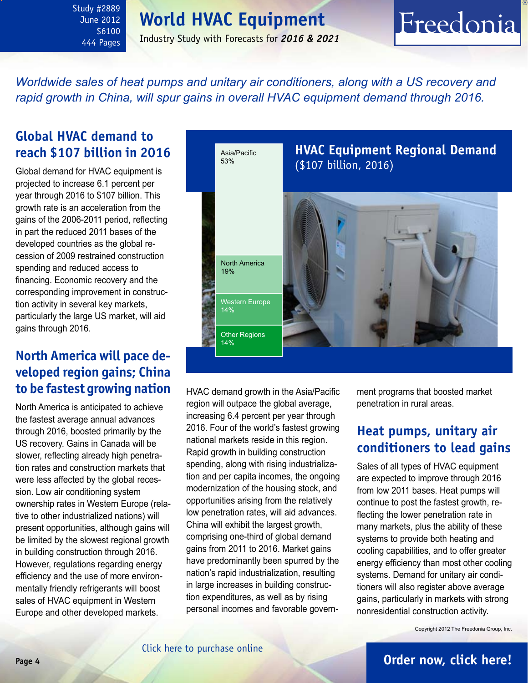## **World HVAC Equipment**

<span id="page-3-0"></span>Study #2889 June 2012 \$6100 444 Pages

## Industry Study with Forecasts for *2016 & 2021*

## Freedonia

*Worldwide sales of heat pumps and unitary air conditioners, along with a US recovery and rapid growth in China, will spur gains in overall HVAC equipment demand through 2016.*

## **Global HVAC demand to reach \$107 billion in 2016**

Global demand for HVAC equipment is projected to increase 6.1 percent per year through 2016 to \$107 billion. This growth rate is an acceleration from the gains of the 2006-2011 period, reflecting in part the reduced 2011 bases of the developed countries as the global recession of 2009 restrained construction spending and reduced access to financing. Economic recovery and the corresponding improvement in construction activity in several key markets, particularly the large US market, will aid gains through 2016.

## **North America will pace developed region gains; China to be fastest growing nation**

North America is anticipated to achieve the fastest average annual advances through 2016, boosted primarily by the US recovery. Gains in Canada will be slower, reflecting already high penetration rates and construction markets that were less affected by the global recession. Low air conditioning system ownership rates in Western Europe (relative to other industrialized nations) will present opportunities, although gains will be limited by the slowest regional growth in building construction through 2016. However, regulations regarding energy efficiency and the use of more environmentally friendly refrigerants will boost sales of HVAC equipment in Western Europe and other developed markets.



HVAC demand growth in the Asia/Pacific region will outpace the global average, increasing 6.4 percent per year through 2016. Four of the world's fastest growing national markets reside in this region. Rapid growth in building construction spending, along with rising industrialization and per capita incomes, the ongoing modernization of the housing stock, and opportunities arising from the relatively low penetration rates, will aid advances. China will exhibit the largest growth, comprising one-third of global demand gains from 2011 to 2016. Market gains have predominantly been spurred by the nation's rapid industrialization, resulting in large increases in building construction expenditures, as well as by rising personal incomes and favorable government programs that boosted market penetration in rural areas.

## **Heat pumps, unitary air conditioners to lead gains**

Sales of all types of HVAC equipment are expected to improve through 2016 from low 2011 bases. Heat pumps will continue to post the fastest growth, reflecting the lower penetration rate in many markets, plus the ability of these systems to provide both heating and cooling capabilities, and to offer greater energy efficiency than most other cooling systems. Demand for unitary air conditioners will also register above average gains, particularly in markets with strong nonresidential construction activity.

Copyright 2012 The Freedonia Group, Inc.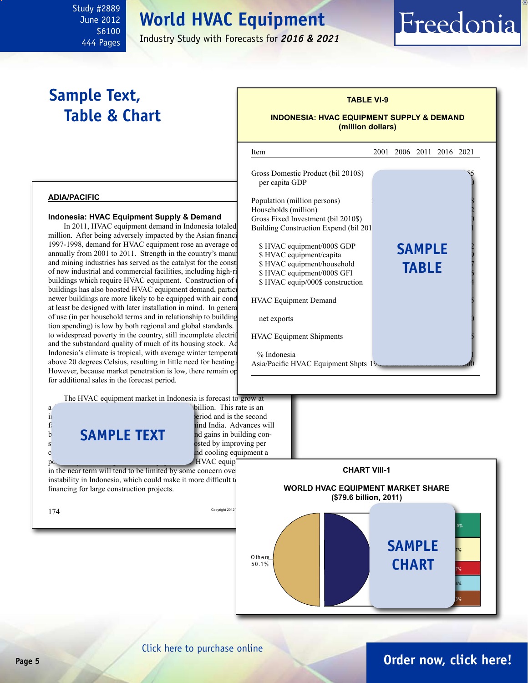## **World HVAC Equipment**

Industry Study with Forecasts for *2016 & 2021*

## **Sample Text, Table & Chart**

<span id="page-4-0"></span>Study #2889 June 2012 \$6100 444 Pages

## **TABLE VI-9 INDONESIA: HVAC EQUIPMENT SUPPLY & DEMAND (million dollars)**

Freedonia



### [Click here to purchase online](http://www.freedoniagroup.com/DocumentDetails.aspx?Referrerid=FM-Bro&StudyID=2889)

## **Page 5 [Order now, click here!](#page-6-0)**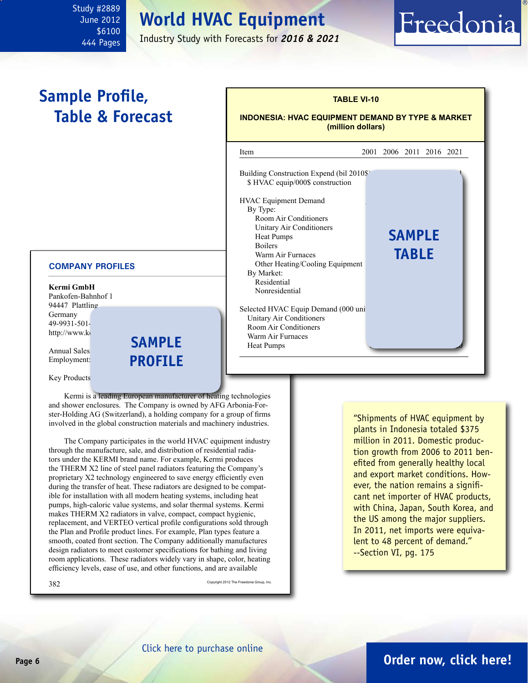## **World HVAC Equipment**

Industry Study with Forecasts for *2016 & 2021*

## **Sample Profile, Table & Forecast**

<span id="page-5-0"></span>Study #2889 June 2012 \$6100 444 Pages

#### **COMPANY PROFILES**

| Kermi GmbH         |
|--------------------|
| Pankofen-Bahnhof 1 |
| 94447 Plattling    |
| Germany            |
| 49-9931-501-       |
| http://www.ko      |

Annual Sales Employment:



### **(million dollars)** l Item 2001 2006 2011 2016 2021 Building Construction Expend (bil 2010\$) \$ HVAC equip/000\$ construction HVAC Equipment Demand By Type: Room Air Conditioners Unitary Air Conditioners Heat Pumps **5AMPLE** Boilers  $\qquad \qquad \blacksquare$ Warm Air Furnaces Other Heating/Cooling Equipment By Market: Residential Nonresidential Selected HVAC Equip Demand (000 uni-Unitary Air Conditioners Room Air Conditioners Warm Air Furnaces Heat Pumps **table**

**TABLE VI-10**

Freedonia

**INDONESIA: HVAC EQUIPMENT DEMAND BY TYPE & MARKET**

Key Products

Kermi is a leading European manufacturer of heating technologies and shower enclosures. The Company is owned by AFG Arbonia-Forster-Holding AG (Switzerland), a holding company for a group of firms involved in the global construction materials and machinery industries.

The Company participates in the world HVAC equipment industry through the manufacture, sale, and distribution of residential radiators under the KERMI brand name. For example, Kermi produces the THERM X2 line of steel panel radiators featuring the Company's proprietary X2 technology engineered to save energy efficiently even during the transfer of heat. These radiators are designed to be compatible for installation with all modern heating systems, including heat pumps, high-caloric value systems, and solar thermal systems. Kermi makes THERM X2 radiators in valve, compact, compact hygienic, replacement, and VERTEO vertical profile configurations sold through the Plan and Profile product lines. For example, Plan types feature a smooth, coated front section. The Company additionally manufactures design radiators to meet customer specifications for bathing and living room applications. These radiators widely vary in shape, color, heating efficiency levels, ease of use, and other functions, and are available

Second Copyright 2012 The Freedonia Group, Inc.

"Shipments of HVAC equipment by plants in Indonesia totaled \$375 million in 2011. Domestic production growth from 2006 to 2011 benefited from generally healthy local and export market conditions. However, the nation remains a significant net importer of HVAC products, with China, Japan, South Korea, and the US among the major suppliers. In 2011, net imports were equivalent to 48 percent of demand." --Section VI, pg. 175

## **Page 6 [Order now, click here!](#page-6-0)**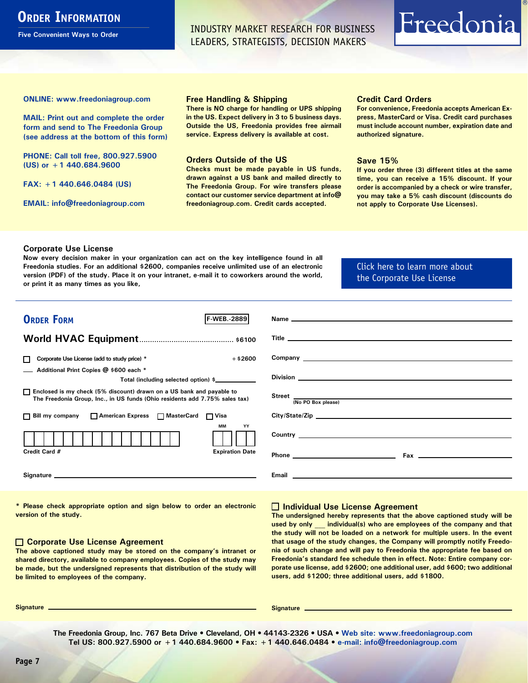## <span id="page-6-0"></span>**ORDER INFORMATION**

**Five Convenient Ways to Order**

INDUSTRY MARKET RESEARCH FOR BUSINESS LEADERS, STRATEGISTS, DECISION MAKERS

## Freedonia

**ONLINE: [www.freedoniagroup.com](http://www.freedoniagroup.com/DocumentDetails.aspx?Referrerid=FM-Bro&StudyID=2889)**

**MAIL: Print out and complete the order form and send to The Freedonia Group (see address at the bottom of this form)**

**PHONE: Call toll free, 800.927.5900 (US) or +1 440.684.9600**

**FAX: +1 440.646.0484 (US)**

**EMAIL: [info@freedoniagroup.com](mailto:info@freedoniagroup.com)**

#### **Free Handling & Shipping**

**There is NO charge for handling or UPS shipping in the US. Expect delivery in 3 to 5 business days. Outside the US, Freedonia provides free airmail service. Express delivery is available at cost.**

#### **Orders Outside of the US**

**Checks must be made payable in US funds, drawn against a US bank and mailed directly to The Freedonia Group. For wire transfers please contact our customer service department at info@ freedoniagroup.com. Credit cards accepted.**

#### **Credit Card Orders**

**For convenience, Freedonia accepts American Express, MasterCard or Visa. Credit card purchases must include account number, expiration date and authorized signature.**

#### **Save 15%**

**If you order three (3) different titles at the same time, you can receive a 15% discount. If your order is accompanied by a check or wire transfer, you may take a 5% cash discount (discounts do not apply to Corporate Use Licenses).**

#### **Corporate Use License**

**Now every decision maker in your organization can act on the key intelligence found in all Freedonia studies. For an additional \$2600, companies receive unlimited use of an electronic version (PDF) of the study. Place it on your intranet, e-mail it to coworkers around the world, or print it as many times as you like,** 

### [Click here to learn more about](http://www.freedoniagroup.com/pdf/FreedoniaCULBro.pdf)  [the Corporate Use License](http://www.freedoniagroup.com/pdf/FreedoniaCULBro.pdf)

| <b>ORDER FORM</b><br><b>F-WEB. 2889</b>                                                                                                               |                                                                                                                                                                                                                                     |
|-------------------------------------------------------------------------------------------------------------------------------------------------------|-------------------------------------------------------------------------------------------------------------------------------------------------------------------------------------------------------------------------------------|
|                                                                                                                                                       |                                                                                                                                                                                                                                     |
|                                                                                                                                                       |                                                                                                                                                                                                                                     |
|                                                                                                                                                       |                                                                                                                                                                                                                                     |
| $+$ \$2600<br>Corporate Use License (add to study price) *                                                                                            |                                                                                                                                                                                                                                     |
| Additional Print Copies @ \$600 each *                                                                                                                |                                                                                                                                                                                                                                     |
| Total (including selected option) \$___________                                                                                                       |                                                                                                                                                                                                                                     |
| □ Enclosed is my check (5% discount) drawn on a US bank and payable to<br>The Freedonia Group, Inc., in US funds (Ohio residents add 7.75% sales tax) | Street $\frac{1}{(No PO Box please)}$                                                                                                                                                                                               |
|                                                                                                                                                       |                                                                                                                                                                                                                                     |
| □ Bill my company □ American Express □ MasterCard □ Visa                                                                                              |                                                                                                                                                                                                                                     |
| <b>MM</b><br>YY                                                                                                                                       |                                                                                                                                                                                                                                     |
|                                                                                                                                                       |                                                                                                                                                                                                                                     |
| Credit Card #<br><b>Expiration Date</b>                                                                                                               |                                                                                                                                                                                                                                     |
|                                                                                                                                                       |                                                                                                                                                                                                                                     |
|                                                                                                                                                       | Email <u>experience</u> and the contract of the contract of the contract of the contract of the contract of the contract of the contract of the contract of the contract of the contract of the contract of the contract of the con |
|                                                                                                                                                       |                                                                                                                                                                                                                                     |

**\* Please check appropriate option and sign below to order an electronic version of the study.**

#### **Corporate Use License Agreement**

**The above captioned study may be stored on the company's intranet or shared directory, available to company employees. Copies of the study may be made, but the undersigned represents that distribution of the study will be limited to employees of the company.**

#### **Individual Use License Agreement**

**The undersigned hereby represents that the above captioned study will be used by only \_\_\_ individual(s) who are employees of the company and that the study will not be loaded on a network for multiple users. In the event that usage of the study changes, the Company will promptly notify Freedonia of such change and will pay to Freedonia the appropriate fee based on Freedonia's standard fee schedule then in effect. Note: Entire company corporate use license, add \$2600; one additional user, add \$600; two additional users, add \$1200; three additional users, add \$1800.**

**Signature Signature**

**The Freedonia Group, Inc. 767 Beta Drive • Cleveland, OH • 44143-2326 • USA • [Web site: www.freedoniagroup.com](http://www.freedoniagroup.com/Home.aspx?ReferrerId=FM-Bro) Tel US: 800.927.5900 or +1 440.684.9600 • Fax: +1 440.646.0484 • [e-mail: info@freedoniagroup.com](mailto:info@freedoniagroup.com)**